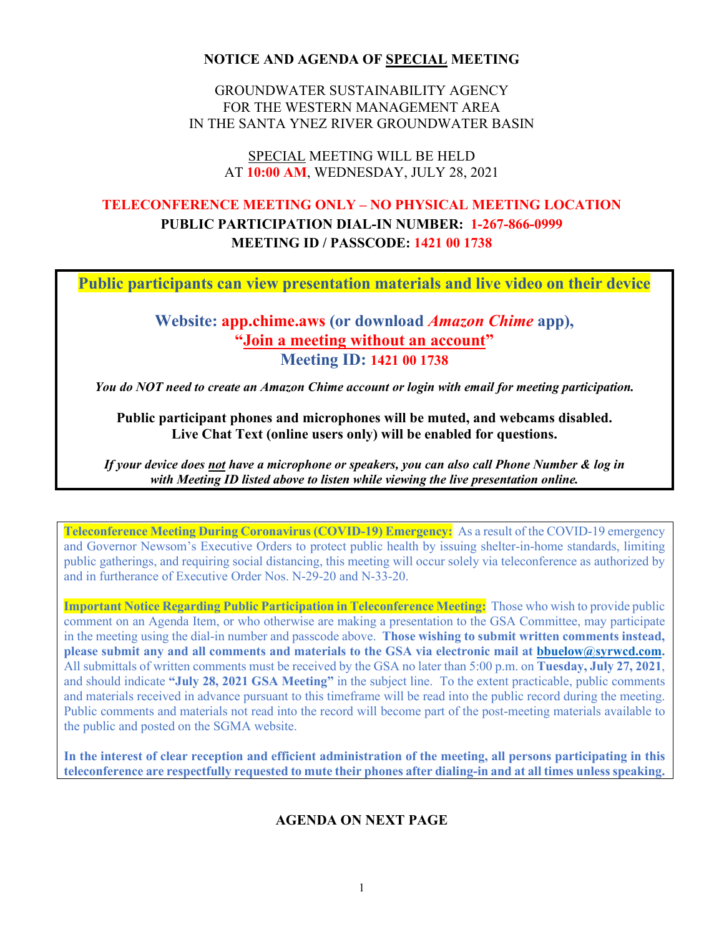#### **NOTICE AND AGENDA OF SPECIAL MEETING**

GROUNDWATER SUSTAINABILITY AGENCY FOR THE WESTERN MANAGEMENT AREA IN THE SANTA YNEZ RIVER GROUNDWATER BASIN

#### SPECIAL MEETING WILL BE HELD AT **10:00 AM**, WEDNESDAY, JULY 28, 2021

# **TELECONFERENCE MEETING ONLY – NO PHYSICAL MEETING LOCATION PUBLIC PARTICIPATION DIAL-IN NUMBER: 1-267-866-0999 MEETING ID / PASSCODE: 1421 00 1738**

**Public participants can view presentation materials and live video on their device**

## **Website: app.chime.aws (or download** *Amazon Chime* **app), "Join a meeting without an account" Meeting ID: 1421 00 1738**

*You do NOT need to create an Amazon Chime account or login with email for meeting participation.*

#### **Public participant phones and microphones will be muted, and webcams disabled. Live Chat Text (online users only) will be enabled for questions.**

*If your device does not have a microphone or speakers, you can also call Phone Number & log in with Meeting ID listed above to listen while viewing the live presentation online.*

**Teleconference Meeting During Coronavirus (COVID-19) Emergency:** As a result of the COVID-19 emergency and Governor Newsom's Executive Orders to protect public health by issuing shelter-in-home standards, limiting public gatherings, and requiring social distancing, this meeting will occur solely via teleconference as authorized by and in furtherance of Executive Order Nos. N-29-20 and N-33-20.

**Important Notice Regarding Public Participation in Teleconference Meeting:** Those who wish to provide public comment on an Agenda Item, or who otherwise are making a presentation to the GSA Committee, may participate in the meeting using the dial-in number and passcode above. **Those wishing to submit written comments instead, please submit any and all comments and materials to the GSA via electronic mail at [bbuelow@syrwcd.com.](mailto:bbuelow@syrwcd.com)** All submittals of written comments must be received by the GSA no later than 5:00 p.m. on **Tuesday, July 27, 2021**, and should indicate **"July 28, 2021 GSA Meeting"** in the subject line. To the extent practicable, public comments and materials received in advance pursuant to this timeframe will be read into the public record during the meeting. Public comments and materials not read into the record will become part of the post-meeting materials available to the public and posted on the SGMA website.

**In the interest of clear reception and efficient administration of the meeting, all persons participating in this teleconference are respectfully requested to mute their phones after dialing-in and at all times unless speaking.**

### **AGENDA ON NEXT PAGE**